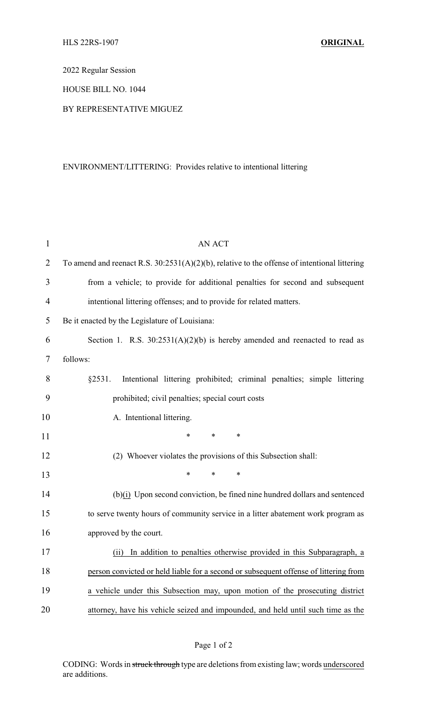2022 Regular Session

HOUSE BILL NO. 1044

## BY REPRESENTATIVE MIGUEZ

## ENVIRONMENT/LITTERING: Provides relative to intentional littering

| $\mathbf{1}$   | <b>AN ACT</b>                                                                                   |  |  |
|----------------|-------------------------------------------------------------------------------------------------|--|--|
| $\overline{2}$ | To amend and reenact R.S. $30:2531(A)(2)(b)$ , relative to the offense of intentional littering |  |  |
| 3              | from a vehicle; to provide for additional penalties for second and subsequent                   |  |  |
| $\overline{4}$ | intentional littering offenses; and to provide for related matters.                             |  |  |
| 5              | Be it enacted by the Legislature of Louisiana:                                                  |  |  |
| 6              | Section 1. R.S. $30:2531(A)(2)(b)$ is hereby amended and reenacted to read as                   |  |  |
| 7              | follows:                                                                                        |  |  |
| 8              | §2531.<br>Intentional littering prohibited; criminal penalties; simple littering                |  |  |
| 9              | prohibited; civil penalties; special court costs                                                |  |  |
| 10             | A. Intentional littering.                                                                       |  |  |
| 11             | $\ast$<br>$\ast$<br>∗                                                                           |  |  |
| 12             | (2) Whoever violates the provisions of this Subsection shall:                                   |  |  |
| 13             | $\ast$<br>$\ast$<br>*                                                                           |  |  |
| 14             | $(b)(i)$ Upon second conviction, be fined nine hundred dollars and sentenced                    |  |  |
| 15             | to serve twenty hours of community service in a litter abatement work program as                |  |  |
| 16             | approved by the court.                                                                          |  |  |
| 17             | (ii) In addition to penalties otherwise provided in this Subparagraph, a                        |  |  |
| 18             | person convicted or held liable for a second or subsequent offense of littering from            |  |  |
| 19             | a vehicle under this Subsection may, upon motion of the prosecuting district                    |  |  |
| 20             | attorney, have his vehicle seized and impounded, and held until such time as the                |  |  |

CODING: Words in struck through type are deletions from existing law; words underscored are additions.